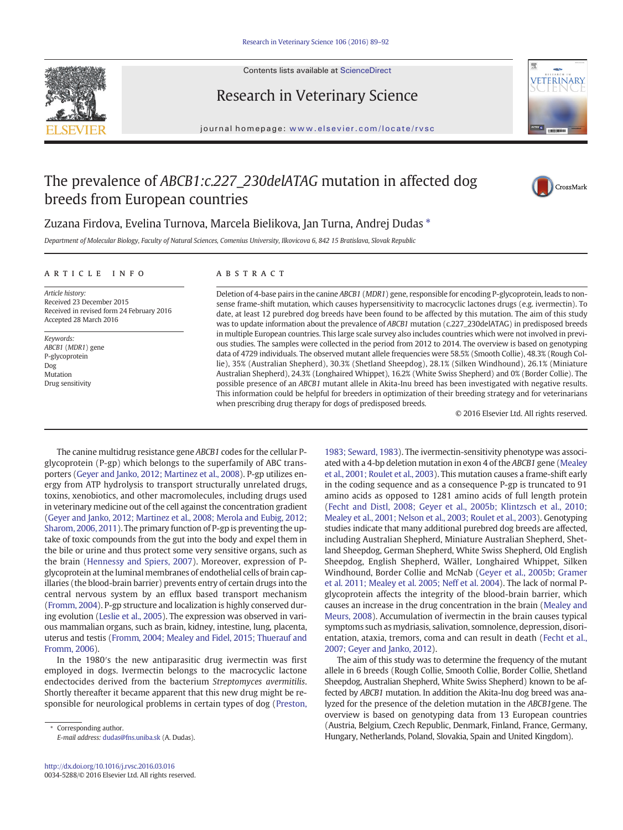

Contents lists available at ScienceDirect

## Research in Veterinary Science



journal homepage: <www.elsevier.com/locate/rvsc>

# The prevalence of ABCB1:c.227\_230delATAG mutation in affected dog breeds from European countries



## Zuzana Firdova, Evelina Turnova, Marcela Bielikova, Jan Turna, Andrej Dudas ⁎

Department of Molecular Biology, Faculty of Natural Sciences, Comenius University, Ilkovicova 6, 842 15 Bratislava, Slovak Republic

### article info abstract

Article history: Received 23 December 2015 Received in revised form 24 February 2016 Accepted 28 March 2016

Keywords: ABCB1 (MDR1) gene P-glycoprotein Dog Mutation Drug sensitivity

Deletion of 4-base pairs in the canine ABCB1 (MDR1) gene, responsible for encoding P-glycoprotein, leads to nonsense frame-shift mutation, which causes hypersensitivity to macrocyclic lactones drugs (e.g. ivermectin). To date, at least 12 purebred dog breeds have been found to be affected by this mutation. The aim of this study was to update information about the prevalence of ABCB1 mutation (c.227\_230delATAG) in predisposed breeds in multiple European countries. This large scale survey also includes countries which were not involved in previous studies. The samples were collected in the period from 2012 to 2014. The overview is based on genotyping data of 4729 individuals. The observed mutant allele frequencies were 58.5% (Smooth Collie), 48.3% (Rough Collie), 35% (Australian Shepherd), 30.3% (Shetland Sheepdog), 28.1% (Silken Windhound), 26.1% (Miniature Australian Shepherd), 24.3% (Longhaired Whippet), 16.2% (White Swiss Shepherd) and 0% (Border Collie). The possible presence of an ABCB1 mutant allele in Akita-Inu breed has been investigated with negative results. This information could be helpful for breeders in optimization of their breeding strategy and for veterinarians when prescribing drug therapy for dogs of predisposed breeds.

© 2016 Elsevier Ltd. All rights reserved.

The canine multidrug resistance gene ABCB1 codes for the cellular Pglycoprotein (P-gp) which belongs to the superfamily of ABC transporters [\(Geyer and Janko, 2012; Martinez et al., 2008](#page-2-0)). P-gp utilizes energy from ATP hydrolysis to transport structurally unrelated drugs, toxins, xenobiotics, and other macromolecules, including drugs used in veterinary medicine out of the cell against the concentration gradient [\(Geyer and Janko, 2012; Martinez et al., 2008; Merola and Eubig, 2012;](#page-2-0) [Sharom, 2006, 2011](#page-2-0)). The primary function of P-gp is preventing the uptake of toxic compounds from the gut into the body and expel them in the bile or urine and thus protect some very sensitive organs, such as the brain [\(Hennessy and Spiers, 2007](#page-2-0)). Moreover, expression of Pglycoprotein at the luminal membranes of endothelial cells of brain capillaries (the blood-brain barrier) prevents entry of certain drugs into the central nervous system by an efflux based transport mechanism [\(Fromm, 2004\)](#page-2-0). P-gp structure and localization is highly conserved during evolution ([Leslie et al., 2005\)](#page-2-0). The expression was observed in various mammalian organs, such as brain, kidney, intestine, lung, placenta, uterus and testis [\(Fromm, 2004; Mealey and Fidel, 2015; Thuerauf and](#page-2-0) [Fromm, 2006\)](#page-2-0).

In the 1980′s the new antiparasitic drug ivermectin was first employed in dogs. Ivermectin belongs to the macrocyclic lactone endectocides derived from the bacterium Streptomyces avermitilis. Shortly thereafter it became apparent that this new drug might be responsible for neurological problems in certain types of dog [\(Preston,](#page-3-0)

Corresponding author. E-mail address: [dudas@fns.uniba.sk](mailto:dudas@fns.uniba.sk) (A. Dudas).

[1983; Seward, 1983\)](#page-3-0). The ivermectin-sensitivity phenotype was associated with a 4-bp deletion mutation in exon 4 of the ABCB1 gene ([Mealey](#page-2-0) [et al., 2001; Roulet et al., 2003\)](#page-2-0). This mutation causes a frame-shift early in the coding sequence and as a consequence P-gp is truncated to 91 amino acids as opposed to 1281 amino acids of full length protein [\(Fecht and Distl, 2008; Geyer et al., 2005b; Klintzsch et al., 2010;](#page-2-0) [Mealey et al., 2001; Nelson et al., 2003; Roulet et al., 2003](#page-2-0)). Genotyping studies indicate that many additional purebred dog breeds are affected, including Australian Shepherd, Miniature Australian Shepherd, Shetland Sheepdog, German Shepherd, White Swiss Shepherd, Old English Sheepdog, English Shepherd, Wäller, Longhaired Whippet, Silken Windhound, Border Collie and McNab [\(Geyer et al., 2005b; Gramer](#page-2-0) [et al. 2011; Mealey et al. 2005; Neff et al. 2004\)](#page-2-0). The lack of normal Pglycoprotein affects the integrity of the blood-brain barrier, which causes an increase in the drug concentration in the brain ([Mealey and](#page-2-0) [Meurs, 2008\)](#page-2-0). Accumulation of ivermectin in the brain causes typical symptoms such as mydriasis, salivation, somnolence, depression, disorientation, ataxia, tremors, coma and can result in death [\(Fecht et al.,](#page-2-0) [2007; Geyer and Janko, 2012\)](#page-2-0).

The aim of this study was to determine the frequency of the mutant allele in 6 breeds (Rough Collie, Smooth Collie, Border Collie, Shetland Sheepdog, Australian Shepherd, White Swiss Shepherd) known to be affected by ABCB1 mutation. In addition the Akita-Inu dog breed was analyzed for the presence of the deletion mutation in the ABCB1gene. The overview is based on genotyping data from 13 European countries (Austria, Belgium, Czech Republic, Denmark, Finland, France, Germany, Hungary, Netherlands, Poland, Slovakia, Spain and United Kingdom).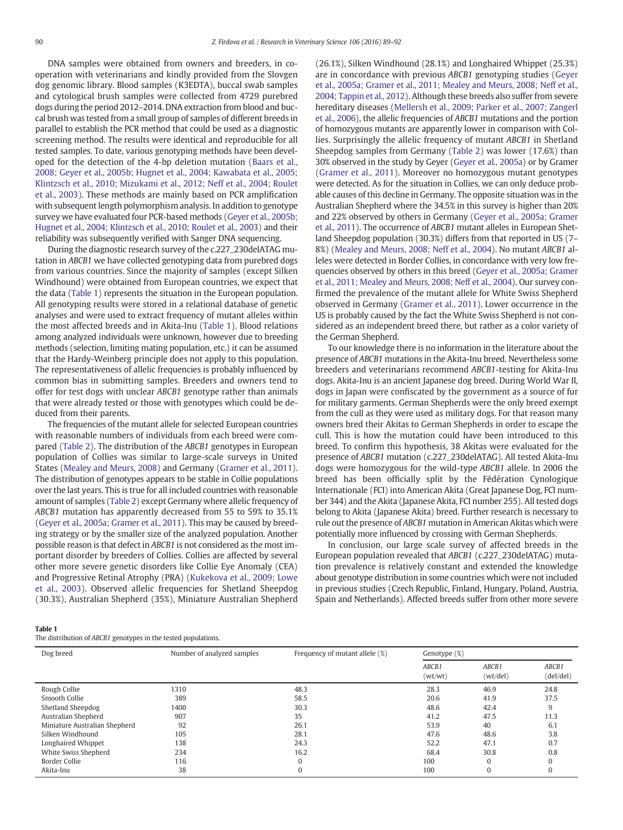DNA samples were obtained from owners and breeders, in cooperation with veterinarians and kindly provided from the Slovgen dog genomic library. Blood samples (K3EDTA), buccal swab samples and cytological brush samples were collected from 4729 purebred dogs during the period 2012–2014. DNA extraction from blood and buccal brush was tested from a small group of samples of different breeds in parallel to establish the PCR method that could be used as a diagnostic screening method. The results were identical and reproducible for all tested samples. To date, various genotyping methods have been developed for the detection of the 4-bp deletion mutation [\(Baars et al.,](#page-2-0) [2008; Geyer et al., 2005b; Hugnet et al., 2004; Kawabata et al., 2005;](#page-2-0) [Klintzsch et al., 2010; Mizukami et al., 2012; Neff et al., 2004; Roulet](#page-2-0) [et al., 2003\)](#page-2-0). These methods are mainly based on PCR amplification with subsequent length polymorphism analysis. In addition to genotype survey we have evaluated four PCR-based methods [\(Geyer et al., 2005b;](#page-2-0) [Hugnet et al., 2004; Klintzsch et al., 2010; Roulet et al., 2003\)](#page-2-0) and their reliability was subsequently verified with Sanger DNA sequencing.

During the diagnostic research survey of the c.227\_230delATAG mutation in ABCB1 we have collected genotyping data from purebred dogs from various countries. Since the majority of samples (except Silken Windhound) were obtained from European countries, we expect that the data (Table 1) represents the situation in the European population. All genotyping results were stored in a relational database of genetic analyses and were used to extract frequency of mutant alleles within the most affected breeds and in Akita-Inu (Table 1). Blood relations among analyzed individuals were unknown, however due to breeding methods (selection, limiting mating population, etc.) it can be assumed that the Hardy-Weinberg principle does not apply to this population. The representativeness of allelic frequencies is probably influenced by common bias in submitting samples. Breeders and owners tend to offer for test dogs with unclear ABCB1 genotype rather than animals that were already tested or those with genotypes which could be deduced from their parents.

The frequencies of the mutant allele for selected European countries with reasonable numbers of individuals from each breed were compared [\(Table 2](#page-2-0)). The distribution of the ABCB1 genotypes in European population of Collies was similar to large-scale surveys in United States ([Mealey and Meurs, 2008](#page-2-0)) and Germany [\(Gramer et al., 2011](#page-2-0)). The distribution of genotypes appears to be stable in Collie populations over the last years. This is true for all included countries with reasonable amount of samples [\(Table 2](#page-2-0)) except Germany where allelic frequency of ABCB1 mutation has apparently decreased from 55 to 59% to 35.1% [\(Geyer et al., 2005a; Gramer et al., 2011](#page-2-0)). This may be caused by breeding strategy or by the smaller size of the analyzed population. Another possible reason is that defect in ABCB1 is not considered as the most important disorder by breeders of Collies. Collies are affected by several other more severe genetic disorders like Collie Eye Anomaly (CEA) and Progressive Retinal Atrophy (PRA) ([Kukekova et al., 2009; Lowe](#page-2-0) [et al., 2003\)](#page-2-0). Observed allelic frequencies for Shetland Sheepdog (30.3%), Australian Shepherd (35%), Miniature Australian Shepherd (26.1%), Silken Windhound (28.1%) and Longhaired Whippet (25.3%) are in concordance with previous ABCB1 genotyping studies [\(Geyer](#page-2-0) [et al., 2005a; Gramer et al., 2011; Mealey and Meurs, 2008; Neff et al.,](#page-2-0) [2004; Tappin et al., 2012](#page-2-0)). Although these breeds also suffer from severe hereditary diseases [\(Mellersh et al., 2009; Parker et al., 2007; Zangerl](#page-2-0) [et al., 2006](#page-2-0)), the allelic frequencies of ABCB1 mutations and the portion of homozygous mutants are apparently lower in comparison with Collies. Surprisingly the allelic frequency of mutant ABCB1 in Shetland Sheepdog samples from Germany [\(Table 2](#page-2-0)) was lower (17.6%) than 30% observed in the study by Geyer [\(Geyer et al., 2005a\)](#page-2-0) or by Gramer [\(Gramer et al., 2011](#page-2-0)). Moreover no homozygous mutant genotypes were detected. As for the situation in Collies, we can only deduce probable causes of this decline in Germany. The opposite situation was in the Australian Shepherd where the 34.5% in this survey is higher than 20% and 22% observed by others in Germany [\(Geyer et al., 2005a; Gramer](#page-2-0) [et al., 2011](#page-2-0)). The occurrence of ABCB1 mutant alleles in European Shetland Sheepdog population (30.3%) differs from that reported in US (7– 8%) [\(Mealey and Meurs, 2008; Neff et al., 2004](#page-2-0)). No mutant ABCB1 alleles were detected in Border Collies, in concordance with very low frequencies observed by others in this breed [\(Geyer et al., 2005a; Gramer](#page-2-0) [et al., 2011; Mealey and Meurs, 2008; Neff et al., 2004](#page-2-0)). Our survey confirmed the prevalence of the mutant allele for White Swiss Shepherd observed in Germany [\(Gramer et al., 2011](#page-2-0)). Lower occurrence in the US is probably caused by the fact the White Swiss Shepherd is not considered as an independent breed there, but rather as a color variety of the German Shepherd.

To our knowledge there is no information in the literature about the presence of ABCB1 mutations in the Akita-Inu breed. Nevertheless some breeders and veterinarians recommend ABCB1-testing for Akita-Inu dogs. Akita-Inu is an ancient Japanese dog breed. During World War II, dogs in Japan were confiscated by the government as a source of fur for military garments. German Shepherds were the only breed exempt from the cull as they were used as military dogs. For that reason many owners bred their Akitas to German Shepherds in order to escape the cull. This is how the mutation could have been introduced to this breed. To confirm this hypothesis, 38 Akitas were evaluated for the presence of ABCB1 mutation (c.227\_230delATAG). All tested Akita-Inu dogs were homozygous for the wild-type ABCB1 allele. In 2006 the breed has been officially split by the Fédération Cynologique Internationale (FCI) into American Akita (Great Japanese Dog, FCI number 344) and the Akita (Japanese Akita, FCI number 255). All tested dogs belong to Akita (Japanese Akita) breed. Further research is necessary to rule out the presence of ABCB1 mutation in American Akitas which were potentially more influenced by crossing with German Shepherds.

In conclusion, our large scale survey of affected breeds in the European population revealed that ABCB1 (c.227\_230delATAG) mutation prevalence is relatively constant and extended the knowledge about genotype distribution in some countries which were not included in previous studies (Czech Republic, Finland, Hungary, Poland, Austria, Spain and Netherlands). Affected breeds suffer from other more severe

Table 1

The distribution of ABCB1 genotypes in the tested populations.

| Dog breed                     | Number of analyzed samples | Frequency of mutant allele (%) | Genotype (%)     |                   |                    |
|-------------------------------|----------------------------|--------------------------------|------------------|-------------------|--------------------|
|                               |                            |                                | ABCB1<br>(wt/wt) | ABCB1<br>(wt/del) | ABCB1<br>(del/del) |
| Rough Collie                  | 1310                       | 48.3                           | 28.3             | 46.9              | 24.8               |
| Smooth Collie                 | 389                        | 58.5                           | 20.6             | 41.9              | 37.5               |
| Shetland Sheepdog             | 1400                       | 30.3                           | 48.6             | 42.4              | 9                  |
| Australian Shepherd           | 907                        | 35                             | 41.2             | 47.5              | 11.3               |
| Miniature Australian Shepherd | 92                         | 26.1                           | 53.9             | 40                | 6.1                |
| Silken Windhound              | 105                        | 28.1                           | 47.6             | 48.6              | 3.8                |
| Longhaired Whippet            | 138                        | 24.3                           | 52.2             | 47.1              | 0.7                |
| White Swiss Shepherd          | 234                        | 16.2                           | 68.4             | 30.8              | 0.8                |
| <b>Border Collie</b>          | 116                        | $\mathbf{0}$                   | 100              | 0                 |                    |
| Akita-Inu                     | 38                         | 0                              | 100              | 0                 |                    |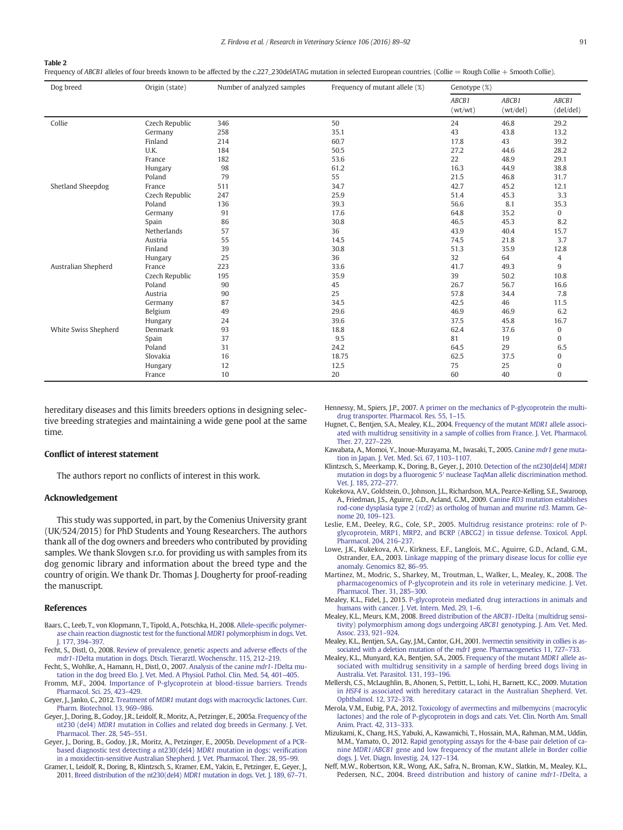<span id="page-2-0"></span>Frequency of ABCB1 alleles of four breeds known to be affected by the c.227\_230delATAG mutation in selected European countries. (Collie = Rough Collie + Smooth Collie).

| Dog breed            | Origin (state) | Number of analyzed samples | Frequency of mutant allele (%) | Genotype (%)     |                   |                    |
|----------------------|----------------|----------------------------|--------------------------------|------------------|-------------------|--------------------|
|                      |                |                            |                                | ABCB1<br>(wt/wt) | ABCB1<br>(wt/del) | ABCB1<br>(del/del) |
| Collie               | Czech Republic | 346                        | 50                             | 24               | 46.8              | 29.2               |
|                      | Germany        | 258                        | 35.1                           | 43               | 43.8              | 13.2               |
|                      | Finland        | 214                        | 60.7                           | 17.8             | 43                | 39.2               |
|                      | U.K.           | 184                        | 50.5                           | 27.2             | 44.6              | 28.2               |
|                      | France         | 182                        | 53.6                           | 22               | 48.9              | 29.1               |
|                      | Hungary        | 98                         | 61.2                           | 16.3             | 44.9              | 38.8               |
|                      | Poland         | 79                         | 55                             | 21.5             | 46.8              | 31.7               |
| Shetland Sheepdog    | France         | 511                        | 34.7                           | 42.7             | 45.2              | 12.1               |
|                      | Czech Republic | 247                        | 25.9                           | 51.4             | 45.3              | 3.3                |
|                      | Poland         | 136                        | 39.3                           | 56.6             | 8.1               | 35.3               |
|                      | Germany        | 91                         | 17.6                           | 64.8             | 35.2              | $\overline{0}$     |
|                      | Spain          | 86                         | 30.8                           | 46.5             | 45.3              | 8.2                |
|                      | Netherlands    | 57                         | 36                             | 43.9             | 40.4              | 15.7               |
|                      | Austria        | 55                         | 14.5                           | 74.5             | 21.8              | 3.7                |
|                      | Finland        | 39                         | 30.8                           | 51.3             | 35.9              | 12.8               |
|                      | Hungary        | 25                         | 36                             | 32               | 64                | 4                  |
| Australian Shepherd  | France         | 223                        | 33.6                           | 41.7             | 49.3              | 9                  |
|                      | Czech Republic | 195                        | 35.9                           | 39               | 50.2              | 10.8               |
|                      | Poland         | 90                         | 45                             | 26.7             | 56.7              | 16.6               |
|                      | Austria        | 90                         | 25                             | 57.8             | 34.4              | 7.8                |
|                      | Germany        | 87                         | 34.5                           | 42.5             | 46                | 11.5               |
|                      | Belgium        | 49                         | 29.6                           | 46.9             | 46.9              | 6.2                |
|                      | Hungary        | 24                         | 39.6                           | 37.5             | 45.8              | 16.7               |
| White Swiss Shepherd | Denmark        | 93                         | 18.8                           | 62.4             | 37.6              | $\bf{0}$           |
|                      | Spain          | 37                         | 9.5                            | 81               | 19                | $\mathbf{0}$       |
|                      | Poland         | 31                         | 24.2                           | 64.5             | 29                | 6.5                |
|                      | Slovakia       | 16                         | 18.75                          | 62.5             | 37.5              | $\bf{0}$           |
|                      | Hungary        | 12                         | 12.5                           | 75               | 25                | $\bf{0}$           |
|                      | France         | 10                         | 20                             | 60               | 40                | $\mathbf{0}$       |

hereditary diseases and this limits breeders options in designing selective breeding strategies and maintaining a wide gene pool at the same time.

### Conflict of interest statement

The authors report no conflicts of interest in this work.

### Acknowledgement

This study was supported, in part, by the Comenius University grant (UK/524/2015) for PhD Students and Young Researchers. The authors thank all of the dog owners and breeders who contributed by providing samples. We thank Slovgen s.r.o. for providing us with samples from its dog genomic library and information about the breed type and the country of origin. We thank Dr. Thomas J. Dougherty for proof-reading the manuscript.

### References

- Baars, C., Leeb, T., von Klopmann, T., Tipold, A., Potschka, H., 2008. [Allele-speci](http://refhub.elsevier.com/S0034-5288(16)30060-1/rf0005)fic polymer[ase chain reaction diagnostic test for the functional](http://refhub.elsevier.com/S0034-5288(16)30060-1/rf0005) MDR1 polymorphism in dogs. Vet. [J. 177, 394](http://refhub.elsevier.com/S0034-5288(16)30060-1/rf0005)–397.
- Fecht, S., Distl, O., 2008. [Review of prevalence, genetic aspects and adverse effects of the](http://refhub.elsevier.com/S0034-5288(16)30060-1/rf0010) mdr1-1[Delta mutation in dogs. Dtsch. Tierarztl. Wochenschr. 115, 212](http://refhub.elsevier.com/S0034-5288(16)30060-1/rf0010)–219.
- Fecht, S., Wohlke, A., Hamann, H., Distl, O., 2007. [Analysis of the canine](http://refhub.elsevier.com/S0034-5288(16)30060-1/rf0015) mdr1-1Delta mu[tation in the dog breed Elo. J. Vet. Med. A Physiol. Pathol. Clin. Med. 54, 401](http://refhub.elsevier.com/S0034-5288(16)30060-1/rf0015)–405.
- Fromm, M.F., 2004. [Importance of P-glycoprotein at blood-tissue barriers. Trends](http://refhub.elsevier.com/S0034-5288(16)30060-1/rf0020) [Pharmacol. Sci. 25, 423](http://refhub.elsevier.com/S0034-5288(16)30060-1/rf0020)–429.
- Geyer, J., Janko, C., 2012. Treatment of MDR1 [mutant dogs with macrocyclic lactones. Curr.](http://refhub.elsevier.com/S0034-5288(16)30060-1/rf0025) [Pharm. Biotechnol. 13, 969](http://refhub.elsevier.com/S0034-5288(16)30060-1/rf0025)–986.
- Geyer, J., Doring, B., Godoy, J.R., Leidolf, R., Moritz, A., Petzinger, E., 2005a. [Frequency of the](http://refhub.elsevier.com/S0034-5288(16)30060-1/rf0030) nt230 (del4) MDR1 [mutation in Collies and related dog breeds in Germany. J. Vet.](http://refhub.elsevier.com/S0034-5288(16)30060-1/rf0030) [Pharmacol. Ther. 28, 545](http://refhub.elsevier.com/S0034-5288(16)30060-1/rf0030)–551.
- Geyer, J., Doring, B., Godoy, J.R., Moritz, A., Petzinger, E., 2005b. [Development of a PCR-](http://refhub.elsevier.com/S0034-5288(16)30060-1/rf0035)[based diagnostic test detecting a nt230\(del4\)](http://refhub.elsevier.com/S0034-5288(16)30060-1/rf0035) MDR1 mutation in dogs: verification [in a moxidectin-sensitive Australian Shepherd. J. Vet. Pharmacol. Ther. 28, 95](http://refhub.elsevier.com/S0034-5288(16)30060-1/rf0035)–99.
- Gramer, I., Leidolf, R., Doring, B., Klintzsch, S., Kramer, E.M., Yalcin, E., Petzinger, E., Geyer, J., 2011. [Breed distribution of the nt230\(del4\)](http://refhub.elsevier.com/S0034-5288(16)30060-1/rf0040) MDR1 mutation in dogs. Vet. J. 189, 67–71.
- Hennessy, M., Spiers, J.P., 2007. [A primer on the mechanics of P-glycoprotein the multi](http://refhub.elsevier.com/S0034-5288(16)30060-1/rf0045)[drug transporter. Pharmacol. Res. 55, 1](http://refhub.elsevier.com/S0034-5288(16)30060-1/rf0045)–15.
- Hugnet, C., Bentjen, S.A., Mealey, K.L., 2004. [Frequency of the mutant](http://refhub.elsevier.com/S0034-5288(16)30060-1/rf0050) MDR1 allele associ[ated with multidrug sensitivity in a sample of collies from France. J. Vet. Pharmacol.](http://refhub.elsevier.com/S0034-5288(16)30060-1/rf0050) [Ther. 27, 227](http://refhub.elsevier.com/S0034-5288(16)30060-1/rf0050)–229.
- Kawabata, A., Momoi, Y., Inoue-Murayama, M., Iwasaki, T., 2005. Canine mdr1 [gene muta](http://refhub.elsevier.com/S0034-5288(16)30060-1/rf0055)[tion in Japan. J. Vet. Med. Sci. 67, 1103](http://refhub.elsevier.com/S0034-5288(16)30060-1/rf0055)–1107.
- Klintzsch, S., Meerkamp, K., Doring, B., Geyer, J., 2010. [Detection of the nt230\[del4\]](http://refhub.elsevier.com/S0034-5288(16)30060-1/rf0060) MDR1 mutation in dogs by a fluorogenic 5′ [nuclease TaqMan allelic discrimination method.](http://refhub.elsevier.com/S0034-5288(16)30060-1/rf0060) [Vet. J. 185, 272](http://refhub.elsevier.com/S0034-5288(16)30060-1/rf0060)–277.
- Kukekova, A.V., Goldstein, O., Johnson, J.L., Richardson, M.A., Pearce-Kelling, S.E., Swaroop, A., Friedman, J.S., Aguirre, G.D., Acland, G.M., 2009. Canine RD3 [mutation establishes](http://refhub.elsevier.com/S0034-5288(16)30060-1/rf0065) rod-cone dysplasia type 2 (rcd2[\) as ortholog of human and murine](http://refhub.elsevier.com/S0034-5288(16)30060-1/rf0065) rd3. Mamm. Ge[nome 20, 109](http://refhub.elsevier.com/S0034-5288(16)30060-1/rf0065)–123.
- Leslie, E.M., Deeley, R.G., Cole, S.P., 2005. [Multidrug resistance proteins: role of P](http://refhub.elsevier.com/S0034-5288(16)30060-1/rf0070)[glycoprotein, MRP1, MRP2, and BCRP \(ABCG2\) in tissue defense. Toxicol. Appl.](http://refhub.elsevier.com/S0034-5288(16)30060-1/rf0070) [Pharmacol. 204, 216](http://refhub.elsevier.com/S0034-5288(16)30060-1/rf0070)–237.
- Lowe, J.K., Kukekova, A.V., Kirkness, E.F., Langlois, M.C., Aguirre, G.D., Acland, G.M., Ostrander, E.A., 2003. [Linkage mapping of the primary disease locus for collie eye](http://refhub.elsevier.com/S0034-5288(16)30060-1/rf0075) [anomaly. Genomics 82, 86](http://refhub.elsevier.com/S0034-5288(16)30060-1/rf0075)–95.
- Martinez, M., Modric, S., Sharkey, M., Troutman, L., Walker, L., Mealey, K., 2008. [The](http://refhub.elsevier.com/S0034-5288(16)30060-1/rf0080) [pharmacogenomics of P-glycoprotein and its role in veterinary medicine. J. Vet.](http://refhub.elsevier.com/S0034-5288(16)30060-1/rf0080) [Pharmacol. Ther. 31, 285](http://refhub.elsevier.com/S0034-5288(16)30060-1/rf0080)–300.
- Mealey, K.L., Fidel, J., 2015. [P-glycoprotein mediated drug interactions in animals and](http://refhub.elsevier.com/S0034-5288(16)30060-1/rf0085) [humans with cancer. J. Vet. Intern. Med. 29, 1](http://refhub.elsevier.com/S0034-5288(16)30060-1/rf0085)–6.
- Mealey, K.L., Meurs, K.M., 2008. [Breed distribution of the](http://refhub.elsevier.com/S0034-5288(16)30060-1/rf0090) ABCB1-1Delta (multidrug sensi[tivity\) polymorphism among dogs undergoing](http://refhub.elsevier.com/S0034-5288(16)30060-1/rf0090) ABCB1 genotyping. J. Am. Vet. Med. [Assoc. 233, 921](http://refhub.elsevier.com/S0034-5288(16)30060-1/rf0090)–924.
- Mealey, K.L., Bentjen, S.A., Gay, J.M., Cantor, G.H., 2001. [Ivermectin sensitivity in collies is as](http://refhub.elsevier.com/S0034-5288(16)30060-1/rf0095)[sociated with a deletion mutation of the](http://refhub.elsevier.com/S0034-5288(16)30060-1/rf0095) *mdr1* gene. Pharmacogenetics 11, 727-733.
- Mealey, K.L., Munyard, K.A., Bentjen, S.A., 2005. [Frequency of the mutant](http://refhub.elsevier.com/S0034-5288(16)30060-1/rf0100) MDR1 allele as[sociated with multidrug sensitivity in a sample of herding breed dogs living in](http://refhub.elsevier.com/S0034-5288(16)30060-1/rf0100) [Australia. Vet. Parasitol. 131, 193](http://refhub.elsevier.com/S0034-5288(16)30060-1/rf0100)–196.
- Mellersh, C.S., McLaughlin, B., Ahonen, S., Pettitt, L., Lohi, H., Barnett, K.C., 2009. [Mutation](http://refhub.elsevier.com/S0034-5288(16)30060-1/rf0105) in HSF4 [is associated with hereditary cataract in the Australian Shepherd. Vet.](http://refhub.elsevier.com/S0034-5288(16)30060-1/rf0105) [Ophthalmol. 12, 372](http://refhub.elsevier.com/S0034-5288(16)30060-1/rf0105)–378.
- Merola, V.M., Eubig, P.A., 2012. [Toxicology of avermectins and milbemycins \(macrocylic](http://refhub.elsevier.com/S0034-5288(16)30060-1/rf0110) [lactones\) and the role of P-glycoprotein in dogs and cats. Vet. Clin. North Am. Small](http://refhub.elsevier.com/S0034-5288(16)30060-1/rf0110) [Anim. Pract. 42, 313](http://refhub.elsevier.com/S0034-5288(16)30060-1/rf0110)–333.
- Mizukami, K., Chang, H.S., Yabuki, A., Kawamichi, T., Hossain, M.A., Rahman, M.M., Uddin, M.M., Yamato, O., 2012. [Rapid genotyping assays for the 4-base pair deletion of ca](http://refhub.elsevier.com/S0034-5288(16)30060-1/rf0115)nine MDR1/ABCB1 [gene and low frequency of the mutant allele in Border collie](http://refhub.elsevier.com/S0034-5288(16)30060-1/rf0115) [dogs. J. Vet. Diagn. Investig. 24, 127](http://refhub.elsevier.com/S0034-5288(16)30060-1/rf0115)–134.
- Neff, M.W., Robertson, K.R., Wong, A.K., Safra, N., Broman, K.W., Slatkin, M., Mealey, K.L., Pedersen, N.C., 2004. [Breed distribution and history of canine](http://refhub.elsevier.com/S0034-5288(16)30060-1/rf0120) mdr1-1Delta, a